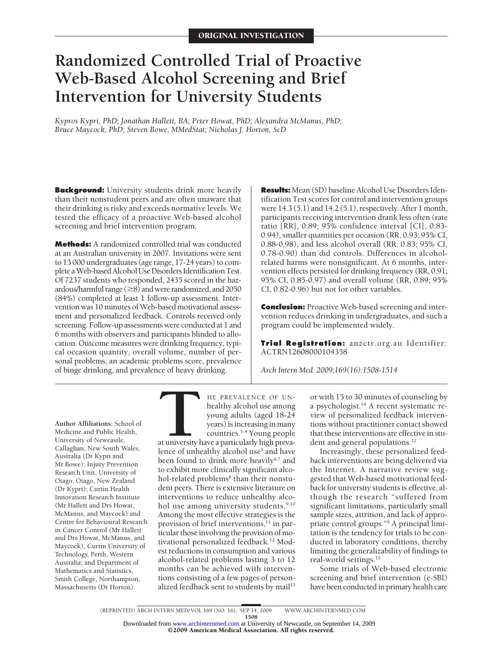# **Randomized Controlled Trial of Proactive Web-Based Alcohol Screening and Brief Intervention for University Students**

*Kypros Kypri, PhD; Jonathan Hallett, BA; Peter Howat, PhD; Alexandra McManus, PhD; Bruce Maycock, PhD; Steven Bowe, MMedStat; Nicholas J. Horton, ScD*

**Background:** University students drink more heavily than their nonstudent peers and are often unaware that their drinking is risky and exceeds normative levels. We tested the efficacy of a proactive Web-based alcohol screening and brief intervention program.

**Methods:** A randomized controlled trial was conducted at an Australian university in 2007. Invitations were sent to 13 000 undergraduates (age range, 17-24 years) to complete a Web-based Alcohol Use Disorders Identification Test. Of 7237 students who responded, 2435 scored in the hazardous/harmful range  $(\geq 8)$  and were randomized, and 2050 (84%) completed at least 1 follow-up assessment. Intervention was 10 minutes of Web-based motivational assessment and personalized feedback. Controls received only screening. Follow-up assessments were conducted at 1 and 6 months with observers and participants blinded to allocation. Outcome measures were drinking frequency, typical occasion quantity, overall volume, number of personal problems, an academic problems score, prevalence of binge drinking, and prevalence of heavy drinking.

**Results:** Mean (SD) baseline Alcohol Use Disorders Identification Test scores for control and intervention groups were 14.3 (5.1) and 14.2 (5.1), respectively. After 1 month, participants receiving intervention drank less often (rate ratio [RR], 0.89; 95% confidence interval [CI], 0.83- 0.94), smaller quantities per occasion (RR, 0.93; 95% CI, 0.88-0.98), and less alcohol overall (RR, 0.83; 95% CI, 0.78-0.90) than did controls. Differences in alcoholrelated harms were nonsignificant. At 6 months, intervention effects persisted for drinking frequency (RR, 0.91; 95% CI, 0.85-0.97) and overall volume (RR, 0.89; 95% CI, 0.82-0.96) but not for other variables.

**Conclusion:** Proactive Web-based screening and intervention reduces drinking in undergraduates, and such a program could be implemented widely.

**Trial Registration:** anzctr.org.au Identifier: ACTRN12608000104358

*Arch Intern Med. 2009;169(16):1508-1514*

**Author Affiliations:** School of Medicine and Public Health, University of Newcastle, Callaghan, New South Wales, Australia (Dr Kypri and Mr Bowe); Injury Prevention Research Unit, University of Otago, Otago, New Zealand (Dr Kypri); Curtin Health Innovation Research Institute (Mr Hallett and Drs Howat, McManus, and Maycock) and Centre for Behavioural Research in Cancer Control (Mr Hallett and Drs Howat, McManus, and Maycock), Curtin University of Technology, Perth, Western Australia; and Department of Mathematics and Statistics, Smith College, Northampton, Massachusetts (Dr Horton).

**THE PREVALENCE OF UN-**<br>healthy alcohol use among<br>young adults (aged 18-24<br>years) is increasing in many<br>countries.<sup>1-4</sup> Young people<br>at university have a particularly high preva-<br>lence of unhealthy alcohol use<sup>5</sup> and have healthy alcohol use among young adults (aged 18-24 years) is increasing in many countries.1-4 Young people

at university have a particularly high prevalence of unhealthy alcohol use<sup>5</sup> and have been found to drink more heavily<sup>6,7</sup> and to exhibit more clinically significant alcohol-related problems<sup>8</sup> than their nonstudent peers. There is extensive literature on interventions to reduce unhealthy alcohol use among university students.<sup>9,10</sup> Among the most effective strategies is the provision of brief interventions,<sup>11</sup> in particular those involving the provision of motivational personalized feedback.12 Modest reductions in consumption and various alcohol-related problems lasting 3 to 12 months can be achieved with interventions consisting of a few pages of personalized feedback sent to students by mail<sup>13</sup>

or with 15 to 30 minutes of counseling by a psychologist.14 A recent systematic review of personalized feedback interventions without practitioner contact showed that these interventions are effective in student and general populations.<sup>12</sup>

Increasingly, these personalized feedback interventions are being delivered via the Internet. A narrative review suggested that Web-based motivational feedback for university students is effective, although the research "suffered from significant limitations, particularly small sample sizes, attrition, and lack of appropriate control groups."9 A principal limitation is the tendency for trials to be conducted in laboratory conditions, thereby limiting the generalizability of findings to real-world settings.15

Some trials of Web-based electronic screening and brief intervention (e-SBI) have been conducted in primary health care

1508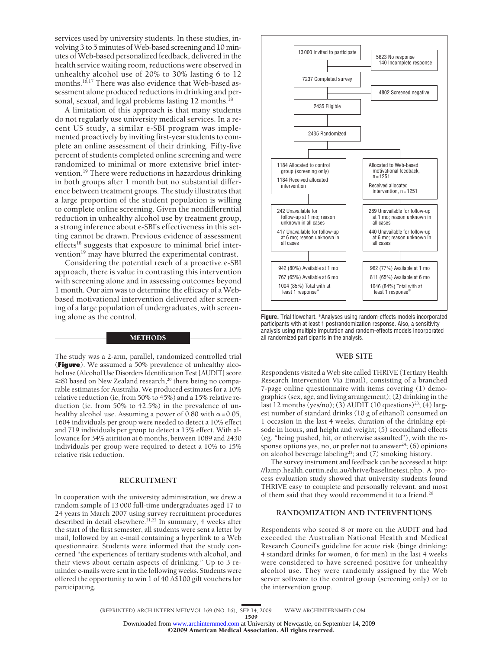services used by university students. In these studies, involving 3 to 5 minutes of Web-based screening and 10 minutes of Web-based personalized feedback, delivered in the health service waiting room, reductions were observed in unhealthy alcohol use of 20% to 30% lasting 6 to 12 months.<sup>16,17</sup> There was also evidence that Web-based assessment alone produced reductions in drinking and personal, sexual, and legal problems lasting 12 months.<sup>18</sup>

A limitation of this approach is that many students do not regularly use university medical services. In a recent US study, a similar e-SBI program was implemented proactively by inviting first-year students to complete an online assessment of their drinking. Fifty-five percent of students completed online screening and were randomized to minimal or more extensive brief intervention.<sup>19</sup> There were reductions in hazardous drinking in both groups after 1 month but no substantial difference between treatment groups. The study illustrates that a large proportion of the student population is willing to complete online screening. Given the nondifferential reduction in unhealthy alcohol use by treatment group, a strong inference about e-SBI's effectiveness in this setting cannot be drawn. Previous evidence of assessment effects<sup>18</sup> suggests that exposure to minimal brief intervention<sup>19</sup> may have blurred the experimental contrast.

Considering the potential reach of a proactive e-SBI approach, there is value in contrasting this intervention with screening alone and in assessing outcomes beyond 1 month. Our aim was to determine the efficacy of a Webbased motivational intervention delivered after screening of a large population of undergraduates, with screening alone as the control.

# **METHODS**

The study was a 2-arm, parallel, randomized controlled trial (**Figure**). We assumed a 50% prevalence of unhealthy alcohol use (Alcohol Use Disorders Identification Test [AUDIT] score ≥8) based on New Zealand research,<sup>20</sup> there being no comparable estimates for Australia. We produced estimates for a 10% relative reduction (ie, from 50% to 45%) and a 15% relative reduction (ie, from 50% to 42.5%) in the prevalence of unhealthy alcohol use. Assuming a power of 0.80 with  $\alpha = 0.05$ , 1604 individuals per group were needed to detect a 10% effect and 719 individuals per group to detect a 15% effect. With allowance for 34% attrition at 6 months, between 1089 and 2430 individuals per group were required to detect a 10% to 15% relative risk reduction.

#### **RECRUITMENT**

In cooperation with the university administration, we drew a random sample of 13 000 full-time undergraduates aged 17 to 24 years in March 2007 using survey recruitment procedures described in detail elsewhere.<sup>21,22</sup> In summary, 4 weeks after the start of the first semester, all students were sent a letter by mail, followed by an e-mail containing a hyperlink to a Web questionnaire. Students were informed that the study concerned "the experiences of tertiary students with alcohol, and their views about certain aspects of drinking." Up to 3 reminder e-mails were sent in the following weeks. Students were offered the opportunity to win 1 of 40 A\$100 gift vouchers for participating.



**Figure.** Trial flowchart. \*Analyses using random-effects models incorporated participants with at least 1 postrandomization response. Also, a sensitivity analysis using multiple imputation and random-effects models incorporated all randomized participants in the analysis.

#### **WEB SITE**

Respondents visited a Web site called THRIVE (Tertiary Health Research Intervention Via Email), consisting of a branched 7-page online questionnaire with items covering (1) demographics (sex, age, and living arrangement); (2) drinking in the last 12 months (yes/no); (3) AUDIT (10 questions)<sup>23</sup>; (4) largest number of standard drinks (10 g of ethanol) consumed on 1 occasion in the last 4 weeks, duration of the drinking episode in hours, and height and weight; (5) secondhand effects (eg, "being pushed, hit, or otherwise assaulted"), with the response options yes, no, or prefer not to answer<sup>24</sup>; (6) opinions on alcohol beverage labeling<sup>25</sup>; and (7) smoking history.

The survey instrument and feedback can be accessed at http: //lamp.health.curtin.edu.au/thrive/baselinetest.php. A process evaluation study showed that university students found THRIVE easy to complete and personally relevant, and most of them said that they would recommend it to a friend.26

## **RANDOMIZATION AND INTERVENTIONS**

Respondents who scored 8 or more on the AUDIT and had exceeded the Australian National Health and Medical Research Council's guideline for acute risk (binge drinking: 4 standard drinks for women, 6 for men) in the last 4 weeks were considered to have screened positive for unhealthy alcohol use. They were randomly assigned by the Web server software to the control group (screening only) or to the intervention group.

©2009 American Medical Association. All rights reserved. Downloaded from [www.archinternmed.com](http://www.archinternmed.com) at University of Newcastle, on September 14, 2009

<sup>(</sup>REPRINTED) ARCH INTERN MED/ VOL 169 (NO. 16), SEP 14, 2009 WWW.ARCHINTERNMED.COM 1509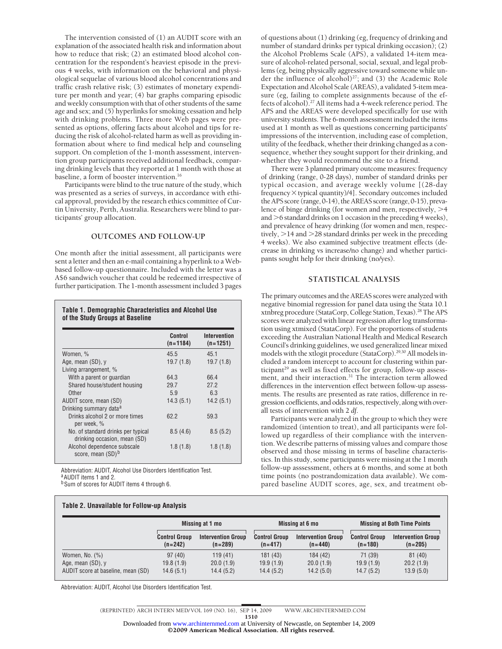The intervention consisted of (1) an AUDIT score with an explanation of the associated health risk and information about how to reduce that risk; (2) an estimated blood alcohol concentration for the respondent's heaviest episode in the previous 4 weeks, with information on the behavioral and physiological sequelae of various blood alcohol concentrations and traffic crash relative risk; (3) estimates of monetary expenditure per month and year; (4) bar graphs comparing episodic and weekly consumption with that of other students of the same age and sex; and (5) hyperlinks for smoking cessation and help with drinking problems. Three more Web pages were presented as options, offering facts about alcohol and tips for reducing the risk of alcohol-related harm as well as providing information about where to find medical help and counseling support. On completion of the 1-month assessment, intervention group participants received additional feedback, comparing drinking levels that they reported at 1 month with those at baseline, a form of booster intervention.<sup>16</sup>

Participants were blind to the true nature of the study, which was presented as a series of surveys, in accordance with ethical approval, provided by the research ethics committee of Curtin University, Perth, Australia. Researchers were blind to participants' group allocation.

## **OUTCOMES AND FOLLOW-UP**

One month after the initial assessment, all participants were sent a letter and then an e-mail containing a hyperlink to a Webbased follow-up questionnaire. Included with the letter was a A\$6 sandwich voucher that could be redeemed irrespective of further participation. The 1-month assessment included 3 pages

#### **Table 1. Demographic Characteristics and Alcohol Use of the Study Groups at Baseline**

| <b>Control</b><br>$(n=1184)$ | Intervention<br>$(n=1251)$ |
|------------------------------|----------------------------|
| 45.5                         | 45.1                       |
| 19.7(1.8)                    | 19.7(1.8)                  |
|                              |                            |
| 64.3                         | 66.4                       |
| 29.7                         | 27.2                       |
| 5.9                          | 6.3                        |
| 14.3(5.1)                    | 14.2(5.1)                  |
|                              |                            |
| 62.2                         | 59.3                       |
| 8.5(4.6)                     | 8.5(5.2)                   |
| 1.8(1.8)                     | 1.8(1.8)                   |
|                              |                            |

Abbreviation: AUDIT, Alcohol Use Disorders Identification Test. aAUDIT items 1 and 2. b Sum of scores for AUDIT items 4 through 6.

**Table 2. Unavailable for Follow-up Analysis**

of questions about (1) drinking (eg, frequency of drinking and number of standard drinks per typical drinking occasion); (2) the Alcohol Problems Scale (APS), a validated 14-item measure of alcohol-related personal, social, sexual, and legal problems (eg, being physically aggressive toward someone while under the influence of alcohol) $27$ ; and (3) the Academic Role Expectation and Alcohol Scale (AREAS), a validated 5-item measure (eg, failing to complete assignments because of the effects of alcohol).27 All items had a 4-week reference period. The APS and the AREAS were developed specifically for use with university students. The 6-month assessment included the items used at 1 month as well as questions concerning participants' impressions of the intervention, including ease of completion, utility of the feedback, whether their drinking changed as a consequence, whether they sought support for their drinking, and whether they would recommend the site to a friend.

There were 3 planned primary outcome measures: frequency of drinking (range, 0-28 days), number of standard drinks per typical occasion, and average weekly volume [(28-day frequency  $\times$  typical quantity)/4]. Secondary outcomes included the APS score (range, 0-14), the AREAS score (range, 0-15), prevalence of binge drinking (for women and men, respectively,  $>4$ and  $>6$  standard drinks on 1 occasion in the preceding 4 weeks), and prevalence of heavy drinking (for women and men, respectively,  $>$  14 and  $>$  28 standard drinks per week in the preceding 4 weeks). We also examined subjective treatment effects (decrease in drinking vs increase/no change) and whether participants sought help for their drinking (no/yes).

## **STATISTICAL ANALYSIS**

The primary outcomes and the AREAS scores were analyzed with negative binomial regression for panel data using the Stata 10.1 xtnbreg procedure (StataCorp, College Station, Texas).28 The APS scores were analyzed with linear regression after log transformation using xtmixed (StataCorp). For the proportions of students exceeding the Australian National Health and Medical Research Council's drinking guidelines, we used generalized linear mixed models with the xtlogit procedure (StataCorp).<sup>29,30</sup> All models included a random intercept to account for clustering within participant<sup>29</sup> as well as fixed effects for group, follow-up assessment, and their interaction.<sup>31</sup> The interaction term allowed differences in the intervention effect between follow-up assessments. The results are presented as rate ratios, difference in regression coefficients, and odds ratios, respectively, along with overall tests of intervention with 2 *df*.

Participants were analyzed in the group to which they were randomized (intention to treat), and all participants were followed up regardless of their compliance with the intervention. We describe patterns of missing values and compare those observed and those missing in terms of baseline characteristics. In this study, some participants were missing at the 1 month follow-up asssessment, others at 6 months, and some at both time points (no postrandomization data available). We compared baseline AUDIT scores, age, sex, and treatment ob-

|                                    | Missing at 1 mo                   |                                        |                                   | Missing at 6 mo                        |                                   | <b>Missing at Both Time Points</b>     |
|------------------------------------|-----------------------------------|----------------------------------------|-----------------------------------|----------------------------------------|-----------------------------------|----------------------------------------|
|                                    | <b>Control Group</b><br>$(n=242)$ | <b>Intervention Group</b><br>$(n=289)$ | <b>Control Group</b><br>$(n=417)$ | <b>Intervention Group</b><br>$(n=440)$ | <b>Control Group</b><br>$(n=180)$ | <b>Intervention Group</b><br>$(n=205)$ |
| Women, No. $(\%)$                  | 97(40)                            | 119(41)                                | 181(43)                           | 184 (42)                               | 71 (39)                           | 81(40)                                 |
| Age, mean $(SD)$ , y               | 19.8(1.9)                         | 20.0(1.9)                              | 19.9(1.9)                         | 20.0(1.9)                              | 19.9(1.9)                         | 20.2(1.9)                              |
| AUDIT score at baseline, mean (SD) | 14.6(5.1)                         | 14.4(5.2)                              | 14.4(5.2)                         | 14.2(5.0)                              | 14.7(5.2)                         | 13.9(5.0)                              |

Abbreviation: AUDIT, Alcohol Use Disorders Identification Test.

1510

Downloaded from [www.archinternmed.com](http://www.archinternmed.com) at University of Newcastle, on September 14, 2009<br>©2009 American Medical Association. All rights reserved.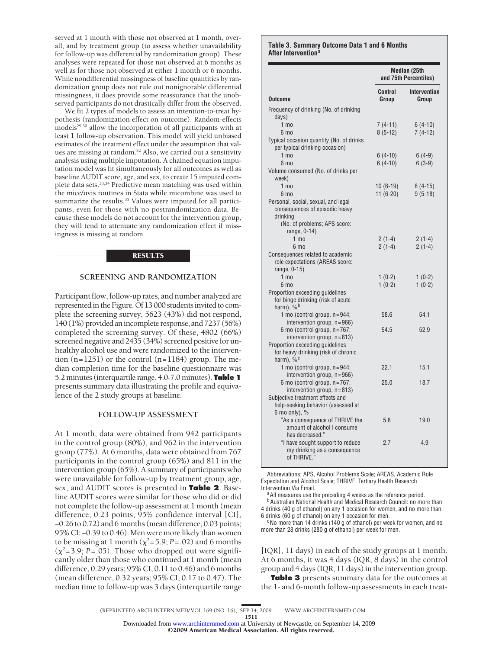served at 1 month with those not observed at 1 month, overall, and by treatment group (to assess whether unavailability for follow-up was differential by randomization group). These analyses were repeated for those not observed at 6 months as well as for those not observed at either 1 month or 6 months. While nondifferential missingness of baseline quantities by randomization group does not rule out nonignorable differential missingness, it does provide some reassurance that the unobserved participants do not drastically differ from the observed.

We fit 2 types of models to assess an intention-to-treat hypothesis (randomization effect on outcome). Random-effects models<sup>29,30</sup> allow the incorporation of all participants with at least 1 follow-up observation. This model will yield unbiased estimates of the treatment effect under the assumption that values are missing at random.<sup>32</sup> Also, we carried out a sensitivity analysis using multiple imputation. A chained equation imputation model was fit simultaneously for all outcomes as well as baseline AUDIT score, age, and sex, to create 15 imputed complete data sets.<sup>33,34</sup> Predictive mean matching was used within the mice/uvis routines in Stata while micombine was used to summarize the results.<sup>35</sup> Values were imputed for all participants, even for those with no postrandomization data. Because these models do not account for the intervention group, they will tend to attenuate any randomization effect if missingness is missing at random.

## **RESULTS**

# **SCREENING AND RANDOMIZATION**

Participant flow, follow-up rates, and number analyzed are represented in the Figure. Of 13 000 students invited to complete the screening survey, 5623 (43%) did not respond, 140 (1%) provided an incomplete response, and 7237 (56%) completed the screening survey. Of these, 4802 (66%) screened negative and 2435 (34%) screened positive for unhealthy alcohol use and were randomized to the intervention  $(n=1251)$  or the control  $(n=1184)$  group. The median completion time for the baseline questionnaire was 5.2 minutes (interquartile range, 4.0-7.0 minutes). **Table 1** presents summary data illustrating the profile and equivalence of the 2 study groups at baseline.

#### **FOLLOW-UP ASSESSMENT**

At 1 month, data were obtained from 942 participants in the control group (80%), and 962 in the intervention group (77%). At 6 months, data were obtained from 767 participants in the control group (65%) and 811 in the intervention group (65%). A summary of participants who were unavailable for follow-up by treatment group, age, sex, and AUDIT scores is presented in **Table 2**. Baseline AUDIT scores were similar for those who did or did not complete the follow-up assessment at 1 month (mean difference, 0.23 points; 95% confidence interval [CI], −0.26 to 0.72) and 6 months (mean difference, 0.03 points; 95% CI: −0.39 to 0.46). Men were more likely than women to be missing at 1 month  $(\chi^2 = 5.9; P = .02)$  and 6 months  $(\chi^2=3.9; P=.05)$ . Those who dropped out were significantly older than those who continued at 1 month (mean difference, 0.29 years; 95% CI, 0.11 to 0.46) and 6 months (mean difference, 0.32 years; 95% CI, 0.17 to 0.47). The median time to follow-up was 3 days (interquartile range

#### **Table 3. Summary Outcome Data 1 and 6 Months After Intervention<sup>a</sup>**

|                                                                                                                                               | Median (25th<br>and 75th Percentiles) |                              |
|-----------------------------------------------------------------------------------------------------------------------------------------------|---------------------------------------|------------------------------|
| Outcome                                                                                                                                       | Г<br>Control<br>Group                 | <b>Intervention</b><br>Group |
| Frequency of drinking (No. of drinking                                                                                                        |                                       |                              |
| days)                                                                                                                                         |                                       |                              |
| 1 <sub>mo</sub>                                                                                                                               | $7(4-11)$                             | $6(4-10)$                    |
| 6 <sub>mo</sub>                                                                                                                               | $8(5-12)$                             | $7(4-12)$                    |
| Typical occasion quantity (No. of drinks<br>per typical drinking occasion)                                                                    |                                       |                              |
| $1 \text{ mo}$                                                                                                                                | $6(4-10)$                             | $6(4-9)$                     |
| $6 \text{ mo}$                                                                                                                                | $6(4-10)$                             | $6(3-9)$                     |
| Volume consumed (No. of drinks per<br>week)                                                                                                   |                                       |                              |
| 1 <sub>mo</sub>                                                                                                                               | $10(6-19)$                            | $8(4-15)$                    |
| 6 <sub>mo</sub>                                                                                                                               | $11(6-20)$                            | $9(5-18)$                    |
| Personal, social, sexual, and legal<br>consequences of episodic heavy<br>drinking                                                             |                                       |                              |
| (No. of problems; APS score:<br>range, 0-14)                                                                                                  |                                       |                              |
| 1 <sub>mo</sub>                                                                                                                               | $2(1-4)$                              | $2(1-4)$                     |
| 6 mo                                                                                                                                          | $2(1-4)$                              | $2(1-4)$                     |
| Consequences related to academic<br>role expectations (AREAS score:<br>range, 0-15)                                                           |                                       |                              |
| 1 <sub>mo</sub>                                                                                                                               | $1(0-2)$                              | $1(0-2)$                     |
| 6 <sub>mo</sub>                                                                                                                               | $1(0-2)$                              | $1(0-2)$                     |
| Proportion exceeding quidelines<br>for binge drinking (risk of acute<br>harm), $%$ <sup>b</sup>                                               |                                       |                              |
| 1 mo (control group, $n = 944$ ;<br>intervention group, $n = 966$ )                                                                           | 58.6                                  | 54.1                         |
| 6 mo (control group, $n = 767$ ;<br>intervention group, $n = 813$ )<br>Proportion exceeding quidelines<br>for heavy drinking (risk of chronic | 54.5                                  | 52.9                         |
| harm), $\frac{6}{6}$ c<br>1 mo (control group, $n = 944$ ;                                                                                    | 22.1                                  | 15.1                         |
| intervention group, $n = 966$ )                                                                                                               |                                       |                              |
| 6 mo (control group, n=767;<br>intervention group, $n = 813$ )                                                                                | 25.0                                  | 18.7                         |
| Subjective treatment effects and<br>help-seeking behavior (assessed at<br>$6$ mo only), $%$                                                   |                                       |                              |
| "As a consequence of THRIVE the<br>amount of alcohol I consume<br>has decreased."                                                             | 5.8                                   | 19.0                         |
| "I have sought support to reduce<br>my drinking as a consequence<br>of THRIVE."                                                               | 2.7                                   | 4.9                          |

Abbreviations: APS, Alcohol Problems Scale; AREAS, Academic Role Expectation and Alcohol Scale; THRIVE, Tertiary Health Research

Intervention Via Email.  $a$ a all measures use the preceding 4 weeks as the reference period.

b Australian National Health and Medical Research Council: no more than 4 drinks (40 g of ethanol) on any 1 occasion for women, and no more than

6 drinks (60 g of ethanol) on any 1 occasion for men.<br><sup>c</sup>No more than 14 drinks (140 g of ethanol) per week for women, and no more than 28 drinks (280 g of ethanol) per week for men.

[IQR], 11 days) in each of the study groups at 1 month. At 6 months, it was 4 days (IQR, 8 days) in the control group and 4 days (IQR, 11 days) in the intervention group.

**Table 3** presents summary data for the outcomes at the 1- and 6-month follow-up assessments in each treat-

1511

Downloaded from [www.archinternmed.com](http://www.archinternmed.com) at University of Newcastle, on September 14, 2009<br>©2009 American Medical Association. All rights reserved.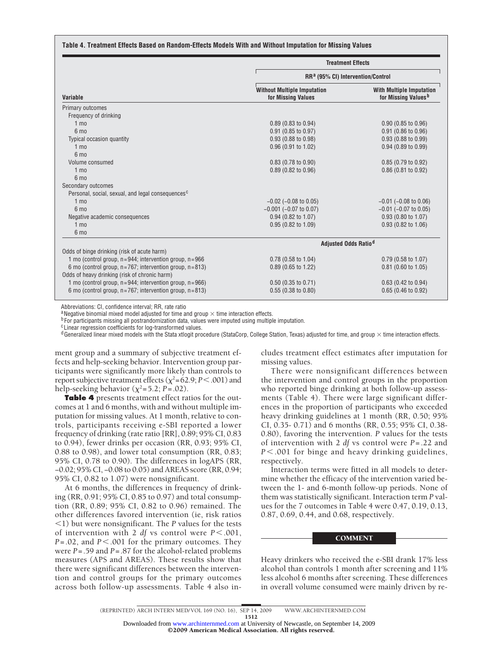#### **Table 4. Treatment Effects Based on Random-Effects Models With and Without Imputation for Missing Values**

|                                                                  | <b>Treatment Effects</b><br>RR <sup>a</sup> (95% CI) Intervention/Control |                                                                    |  |  |
|------------------------------------------------------------------|---------------------------------------------------------------------------|--------------------------------------------------------------------|--|--|
|                                                                  |                                                                           |                                                                    |  |  |
| Variable                                                         | <b>Without Multiple Imputation</b><br>for Missing Values                  | <b>With Multiple Imputation</b><br>for Missing Values <sup>b</sup> |  |  |
| Primary outcomes                                                 |                                                                           |                                                                    |  |  |
| Frequency of drinking                                            |                                                                           |                                                                    |  |  |
| $1 \text{ mo}$                                                   | $0.89$ (0.83 to 0.94)                                                     | $0.90$ (0.85 to 0.96)                                              |  |  |
| 6 <sub>mo</sub>                                                  | 0.91 (0.85 to 0.97)                                                       | $0.91$ (0.86 to 0.96)                                              |  |  |
| <b>Typical occasion quantity</b>                                 | 0.93 (0.88 to 0.98)                                                       | 0.93 (0.88 to 0.99)                                                |  |  |
| $1 \text{ mo}$                                                   | 0.96 (0.91 to 1.02)                                                       | 0.94 (0.89 to 0.99)                                                |  |  |
| 6 <sub>mo</sub>                                                  |                                                                           |                                                                    |  |  |
| Volume consumed                                                  | $0.83$ (0.78 to 0.90)                                                     | $0.85$ (0.79 to 0.92)                                              |  |  |
| $1 \text{ mo}$                                                   | $0.89$ (0.82 to 0.96)                                                     | $0.86$ (0.81 to 0.92)                                              |  |  |
| 6 mo                                                             |                                                                           |                                                                    |  |  |
| Secondary outcomes                                               |                                                                           |                                                                    |  |  |
| Personal, social, sexual, and legal consequences <sup>c</sup>    |                                                                           |                                                                    |  |  |
| $1 \text{ mo}$                                                   | $-0.02$ ( $-0.08$ to 0.05)                                                | $-0.01$ ( $-0.08$ to 0.06)                                         |  |  |
| 6 <sub>mo</sub>                                                  | $-0.001$ ( $-0.07$ to 0.07)                                               | $-0.01$ ( $-0.07$ to 0.05)                                         |  |  |
| Negative academic consequences                                   | 0.94 (0.82 to 1.07)                                                       | 0.93 (0.80 to 1.07)                                                |  |  |
| $1 \text{ mo}$                                                   | 0.95 (0.82 to 1.09)                                                       | 0.93 (0.82 to 1.06)                                                |  |  |
| 6 <sub>mo</sub>                                                  |                                                                           |                                                                    |  |  |
|                                                                  |                                                                           | Adjusted Odds Ratio <sup>d</sup>                                   |  |  |
| Odds of binge drinking (risk of acute harm)                      |                                                                           |                                                                    |  |  |
| 1 mo (control group, $n = 944$ ; intervention group, $n = 966$   | 0.78 (0.58 to 1.04)                                                       | 0.79 (0.58 to 1.07)                                                |  |  |
| 6 mo (control group, n=767; intervention group, n=813)           | 0.89 (0.65 to 1.22)                                                       | $0.81$ (0.60 to 1.05)                                              |  |  |
| Odds of heavy drinking (risk of chronic harm)                    |                                                                           |                                                                    |  |  |
| 1 mo (control group, $n = 944$ ; intervention group, $n = 966$ ) | $0.50$ (0.35 to 0.71)                                                     | $0.63$ (0.42 to 0.94)                                              |  |  |
| 6 mo (control group, $n = 767$ ; intervention group, $n = 813$ ) | 0.55(0.38 to 0.80)                                                        | 0.65 (0.46 to 0.92)                                                |  |  |

Abbreviations: CI, confidence interval; RR, rate ratio

<sup>a</sup> Negative binomial mixed model adjusted for time and group  $\times$  time interaction effects.

<sup>b</sup> For participants missing all postrandomization data, values were imputed using multiple imputation.

cLinear regression coefficients for log-transformed values.

 $d$ Generalized linear mixed models with the Stata xtlogit procedure (StataCorp, College Station, Texas) adjusted for time, and group  $\times$  time interaction effects.

ment group and a summary of subjective treatment effects and help-seeking behavior. Intervention group participants were significantly more likely than controls to report subjective treatment effects  $(\chi^2 = 62.9; P < .001)$  and help-seeking behavior  $(\chi^2 = 5.2; P = .02)$ .

**Table 4** presents treatment effect ratios for the outcomes at 1 and 6 months, with and without multiple imputation for missing values. At 1 month, relative to controls, participants receiving e-SBI reported a lower frequency of drinking (rate ratio [RR], 0.89; 95% CI, 0.83 to 0.94), fewer drinks per occasion (RR, 0.93; 95% CI, 0.88 to 0.98), and lower total consumption (RR, 0.83; 95% CI, 0.78 to 0.90). The differences in logAPS (RR, −0.02; 95% CI, −0.08 to 0.05) and AREAS score (RR, 0.94; 95% CI, 0.82 to 1.07) were nonsignificant.

At 6 months, the differences in frequency of drinking (RR, 0.91; 95% CI, 0.85 to 0.97) and total consumption (RR, 0.89; 95% CI, 0.82 to 0.96) remained. The other differences favored intervention (ie, risk ratios 1) but were nonsignificant. The *P* values for the tests of intervention with 2 *df* vs control were  $P < .001$ ,  $P = .02$ , and  $P \le 0.001$  for the primary outcomes. They were *P*=.59 and *P*=.87 for the alcohol-related problems measures (APS and AREAS). These results show that there were significant differences between the intervention and control groups for the primary outcomes across both follow-up assessments. Table 4 also includes treatment effect estimates after imputation for missing values.

There were nonsignificant differences between the intervention and control groups in the proportion who reported binge drinking at both follow-up assessments (Table 4). There were large significant differences in the proportion of participants who exceeded heavy drinking guidelines at 1 month (RR, 0.50; 95% CI, 0.35- 0.71) and 6 months (RR, 0.55; 95% CI, 0.38- 0.80), favoring the intervention. *P* values for the tests of intervention with 2 *df* vs control were *P*=.22 and *P* .001 for binge and heavy drinking guidelines, respectively.

Interaction terms were fitted in all models to determine whether the efficacy of the intervention varied between the 1- and 6-month follow-up periods. None of them was statistically significant. Interaction term *P* values for the 7 outcomes in Table 4 were 0.47, 0.19, 0.13, 0.87, 0.69, 0.44, and 0.68, respectively.

#### **COMMENT**

Heavy drinkers who received the e-SBI drank 17% less alcohol than controls 1 month after screening and 11% less alcohol 6 months after screening. These differences in overall volume consumed were mainly driven by re-

(REPRINTED) ARCH INTERN MED/ VOL 169 (NO. 16), SEP 14, 2009 WWW.ARCHINTERNMED.COM

<sup>1512</sup>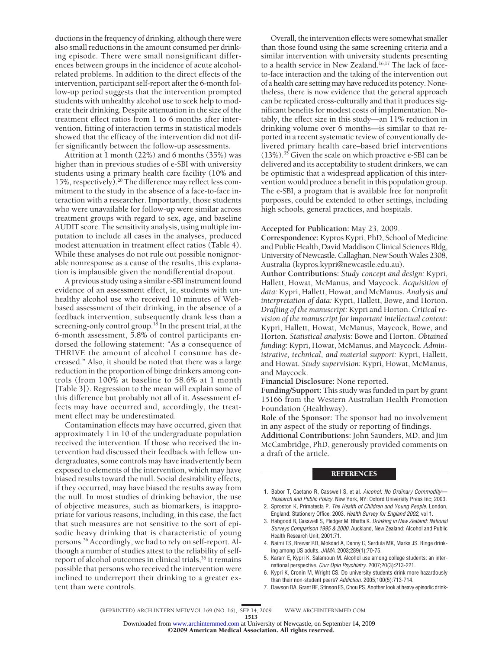ductions in the frequency of drinking, although there were also small reductions in the amount consumed per drinking episode. There were small nonsignificant differences between groups in the incidence of acute alcoholrelated problems. In addition to the direct effects of the intervention, participant self-report after the 6-month follow-up period suggests that the intervention prompted students with unhealthy alcohol use to seek help to moderate their drinking. Despite attenuation in the size of the treatment effect ratios from 1 to 6 months after intervention, fitting of interaction terms in statistical models showed that the efficacy of the intervention did not differ significantly between the follow-up assessments.

Attrition at 1 month (22%) and 6 months (35%) was higher than in previous studies of e-SBI with university students using a primary health care facility (10% and 15%, respectively).20 The difference may reflect less commitment to the study in the absence of a face-to-face interaction with a researcher. Importantly, those students who were unavailable for follow-up were similar across treatment groups with regard to sex, age, and baseline AUDIT score. The sensitivity analysis, using multiple imputation to include all cases in the analyses, produced modest attenuation in treatment effect ratios (Table 4). While these analyses do not rule out possible nonignorable nonresponse as a cause of the results, this explanation is implausible given the nondifferential dropout.

A previous study using a similar e-SBI instrument found evidence of an assessment effect, ie, students with unhealthy alcohol use who received 10 minutes of Webbased assessment of their drinking, in the absence of a feedback intervention, subsequently drank less than a screening-only control group.<sup>18</sup> In the present trial, at the 6-month assessment, 5.8% of control participants endorsed the following statement: "As a consequence of THRIVE the amount of alcohol I consume has decreased." Also, it should be noted that there was a large reduction in the proportion of binge drinkers among controls (from 100% at baseline to 58.6% at 1 month [Table 3]). Regression to the mean will explain some of this difference but probably not all of it. Assessment effects may have occurred and, accordingly, the treatment effect may be underestimated.

Contamination effects may have occurred, given that approximately 1 in 10 of the undergraduate population received the intervention. If those who received the intervention had discussed their feedback with fellow undergraduates, some controls may have inadvertently been exposed to elements of the intervention, which may have biased results toward the null. Social desirability effects, if they occurred, may have biased the results away from the null. In most studies of drinking behavior, the use of objective measures, such as biomarkers, is inappropriate for various reasons, including, in this case, the fact that such measures are not sensitive to the sort of episodic heavy drinking that is characteristic of young persons.<sup>36</sup> Accordingly, we had to rely on self-report. Although a number of studies attest to the reliability of selfreport of alcohol outcomes in clinical trials,<sup>36</sup> it remains possible that persons who received the intervention were inclined to underreport their drinking to a greater extent than were controls.

Overall, the intervention effects were somewhat smaller than those found using the same screening criteria and a similar intervention with university students presenting to a health service in New Zealand.<sup>16,17</sup> The lack of faceto-face interaction and the taking of the intervention out of a health care setting may have reduced its potency. Nonetheless, there is now evidence that the general approach can be replicated cross-culturally and that it produces significant benefits for modest costs of implementation. Notably, the effect size in this study—an 11% reduction in drinking volume over 6 months—is similar to that reported in a recent systematic review of conventionally delivered primary health care–based brief interventions (13%).35 Given the scale on which proactive e-SBI can be delivered and its acceptability to student drinkers, we can be optimistic that a widespread application of this intervention would produce a benefit in this population group. The e-SBI, a program that is available free for nonprofit purposes, could be extended to other settings, including high schools, general practices, and hospitals.

## **Accepted for Publication:** May 23, 2009.

**Correspondence:** Kypros Kypri, PhD, School of Medicine and Public Health, David Maddison Clinical Sciences Bldg, University of Newcastle, Callaghan, New South Wales 2308, Australia (kypros.kypri@newcastle.edu.au).

**Author Contributions:** *Study concept and design:* Kypri, Hallett, Howat, McManus, and Maycock. *Acquisition of data:* Kypri, Hallett, Howat, and McManus. *Analysis and interpretation of data:* Kypri, Hallett, Bowe, and Horton. *Drafting of the manuscript:* Kypri and Horton. *Critical revision of the manuscript for important intellectual content:* Kypri, Hallett, Howat, McManus, Maycock, Bowe, and Horton. *Statistical analysis:* Bowe and Horton. *Obtained funding:* Kypri, Howat, McManus, and Maycock. *Administrative, technical, and material support:* Kypri, Hallett, and Howat. *Study supervision:* Kypri, Howat, McManus, and Maycock.

**Financial Disclosure:** None reported.

**Funding/Support:** This study was funded in part by grant 15166 from the Western Australian Health Promotion Foundation (Healthway).

**Role of the Sponsor:** The sponsor had no involvement in any aspect of the study or reporting of findings.

**Additional Contributions:** John Saunders, MD, and Jim McCambridge, PhD, generously provided comments on a draft of the article.

## **REFERENCES**

- 1. Babor T, Caetano R, Casswell S, et al. *Alcohol: No Ordinary Commodity— Research and Public Policy.* New York, NY: Oxford University Press Inc; 2003.
- 2. Sproston K, Primatesta P. *The Health of Children and Young People.* London, England: Stationery Office; 2003. *Health Survey for England 2002*, vol 1.
- 3. Habgood R, Casswell S, Pledger M, Bhatta K. *Drinking in New Zealand: National Surveys Comparison 1995 & 2000.* Auckland, New Zealand: Alcohol and Public Health Research Unit; 2001:71.
- 4. Naimi TS, Brewer RD, Mokdad A, Denny C, Serdula MK, Marks JS. Binge drinking among US adults. *JAMA*. 2003;289(1):70-75.
- 5. Karam E, Kypri K, Salamoun M. Alcohol use among college students: an international perspective. *Curr Opin Psychiatry*. 2007;20(3):213-221.
- 6. Kypri K, Cronin M, Wright CS. Do university students drink more hazardously than their non-student peers? *Addiction*. 2005;100(5):713-714.
- 7. Dawson DA, Grant BF, Stinson FS, Chou PS. Another look at heavy episodic drink-

1513